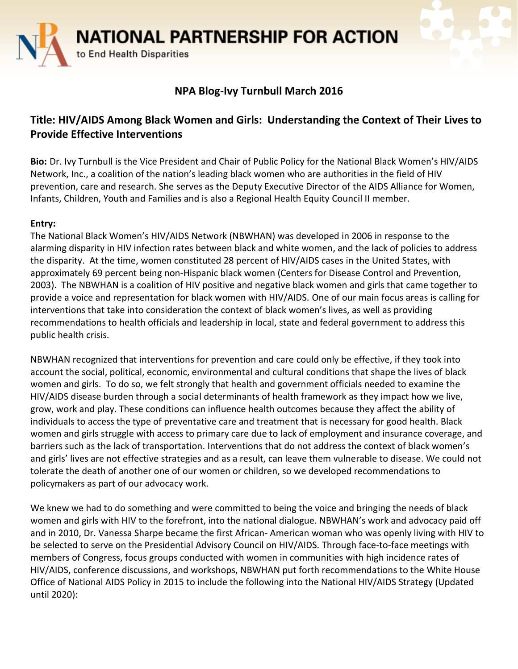**NATIONAL PARTNERSHIP FOR ACTION** 

to End Health Disparities

## **NPA Blog-Ivy Turnbull March 2016**

## **Title: HIV/AIDS Among Black Women and Girls: Understanding the Context of Their Lives to Provide Effective Interventions**

**Bio:** Dr. Ivy Turnbull is the Vice President and Chair of Public Policy for the National Black Women's HIV/AIDS Network, Inc., a coalition of the nation's leading black women who are authorities in the field of HIV prevention, care and research. She serves as the Deputy Executive Director of the AIDS Alliance for Women, Infants, Children, Youth and Families and is also a Regional Health Equity Council II member.

## **Entry:**

The National Black Women's HIV/AIDS Network (NBWHAN) was developed in 2006 in response to the alarming disparity in HIV infection rates between black and white women, and the lack of policies to address the disparity. At the time, women constituted 28 percent of HIV/AIDS cases in the United States, with approximately 69 percent being non-Hispanic black women (Centers for Disease Control and Prevention, 2003). The NBWHAN is a coalition of HIV positive and negative black women and girls that came together to provide a voice and representation for black women with HIV/AIDS. One of our main focus areas is calling for interventions that take into consideration the context of black women's lives, as well as providing recommendations to health officials and leadership in local, state and federal government to address this public health crisis.

NBWHAN recognized that interventions for prevention and care could only be effective, if they took into account the social, political, economic, environmental and cultural conditions that shape the lives of black women and girls. To do so, we felt strongly that health and government officials needed to examine the HIV/AIDS disease burden through a social determinants of health framework as they impact how we live, grow, work and play. These conditions can influence health outcomes because they affect the ability of individuals to access the type of preventative care and treatment that is necessary for good health. Black women and girls struggle with access to primary care due to lack of employment and insurance coverage, and barriers such as the lack of transportation. Interventions that do not address the context of black women's and girls' lives are not effective strategies and as a result, can leave them vulnerable to disease. We could not tolerate the death of another one of our women or children, so we developed recommendations to policymakers as part of our advocacy work.

We knew we had to do something and were committed to being the voice and bringing the needs of black women and girls with HIV to the forefront, into the national dialogue. NBWHAN's work and advocacy paid off and in 2010, Dr. Vanessa Sharpe became the first African- American woman who was openly living with HIV to be selected to serve on the Presidential Advisory Council on HIV/AIDS. Through face-to-face meetings with members of Congress, focus groups conducted with women in communities with high incidence rates of HIV/AIDS, conference discussions, and workshops, NBWHAN put forth recommendations to the White House Office of National AIDS Policy in 2015 to include the following into the National HIV/AIDS Strategy (Updated until 2020):